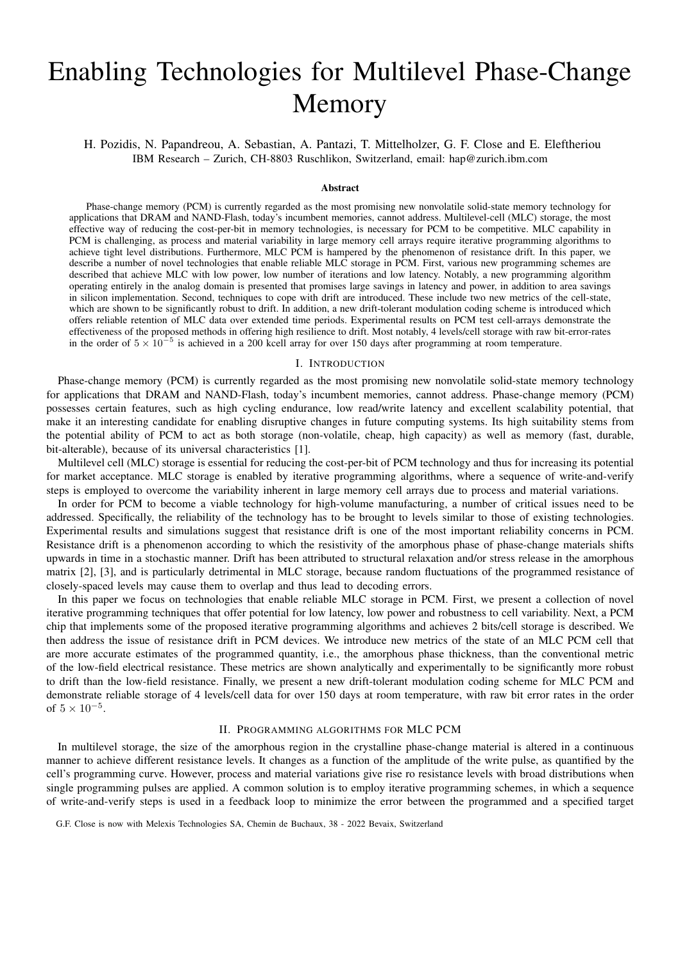# Enabling Technologies for Multilevel Phase-Change Memory

## H. Pozidis, N. Papandreou, A. Sebastian, A. Pantazi, T. Mittelholzer, G. F. Close and E. Eleftheriou IBM Research – Zurich, CH-8803 Ruschlikon, Switzerland, email: hap@zurich.ibm.com

#### Abstract

Phase-change memory (PCM) is currently regarded as the most promising new nonvolatile solid-state memory technology for applications that DRAM and NAND-Flash, today's incumbent memories, cannot address. Multilevel-cell (MLC) storage, the most effective way of reducing the cost-per-bit in memory technologies, is necessary for PCM to be competitive. MLC capability in PCM is challenging, as process and material variability in large memory cell arrays require iterative programming algorithms to achieve tight level distributions. Furthermore, MLC PCM is hampered by the phenomenon of resistance drift. In this paper, we describe a number of novel technologies that enable reliable MLC storage in PCM. First, various new programming schemes are described that achieve MLC with low power, low number of iterations and low latency. Notably, a new programming algorithm operating entirely in the analog domain is presented that promises large savings in latency and power, in addition to area savings in silicon implementation. Second, techniques to cope with drift are introduced. These include two new metrics of the cell-state, which are shown to be significantly robust to drift. In addition, a new drift-tolerant modulation coding scheme is introduced which offers reliable retention of MLC data over extended time periods. Experimental results on PCM test cell-arrays demonstrate the effectiveness of the proposed methods in offering high resilience to drift. Most notably, 4 levels/cell storage with raw bit-error-rates in the order of  $5 \times 10^{-5}$  is achieved in a 200 kcell array for over 150 days after programming at room temperature.

#### I. INTRODUCTION

Phase-change memory (PCM) is currently regarded as the most promising new nonvolatile solid-state memory technology for applications that DRAM and NAND-Flash, today's incumbent memories, cannot address. Phase-change memory (PCM) possesses certain features, such as high cycling endurance, low read/write latency and excellent scalability potential, that make it an interesting candidate for enabling disruptive changes in future computing systems. Its high suitability stems from the potential ability of PCM to act as both storage (non-volatile, cheap, high capacity) as well as memory (fast, durable, bit-alterable), because of its universal characteristics [1].

Multilevel cell (MLC) storage is essential for reducing the cost-per-bit of PCM technology and thus for increasing its potential for market acceptance. MLC storage is enabled by iterative programming algorithms, where a sequence of write-and-verify steps is employed to overcome the variability inherent in large memory cell arrays due to process and material variations.

In order for PCM to become a viable technology for high-volume manufacturing, a number of critical issues need to be addressed. Specifically, the reliability of the technology has to be brought to levels similar to those of existing technologies. Experimental results and simulations suggest that resistance drift is one of the most important reliability concerns in PCM. Resistance drift is a phenomenon according to which the resistivity of the amorphous phase of phase-change materials shifts upwards in time in a stochastic manner. Drift has been attributed to structural relaxation and/or stress release in the amorphous matrix [2], [3], and is particularly detrimental in MLC storage, because random fluctuations of the programmed resistance of closely-spaced levels may cause them to overlap and thus lead to decoding errors.

In this paper we focus on technologies that enable reliable MLC storage in PCM. First, we present a collection of novel iterative programming techniques that offer potential for low latency, low power and robustness to cell variability. Next, a PCM chip that implements some of the proposed iterative programming algorithms and achieves 2 bits/cell storage is described. We then address the issue of resistance drift in PCM devices. We introduce new metrics of the state of an MLC PCM cell that are more accurate estimates of the programmed quantity, i.e., the amorphous phase thickness, than the conventional metric of the low-field electrical resistance. These metrics are shown analytically and experimentally to be significantly more robust to drift than the low-field resistance. Finally, we present a new drift-tolerant modulation coding scheme for MLC PCM and demonstrate reliable storage of 4 levels/cell data for over 150 days at room temperature, with raw bit error rates in the order of  $5 \times 10^{-5}$ .

#### II. PROGRAMMING ALGORITHMS FOR MLC PCM

In multilevel storage, the size of the amorphous region in the crystalline phase-change material is altered in a continuous manner to achieve different resistance levels. It changes as a function of the amplitude of the write pulse, as quantified by the cell's programming curve. However, process and material variations give rise ro resistance levels with broad distributions when single programming pulses are applied. A common solution is to employ iterative programming schemes, in which a sequence of write-and-verify steps is used in a feedback loop to minimize the error between the programmed and a specified target

G.F. Close is now with Melexis Technologies SA, Chemin de Buchaux, 38 - 2022 Bevaix, Switzerland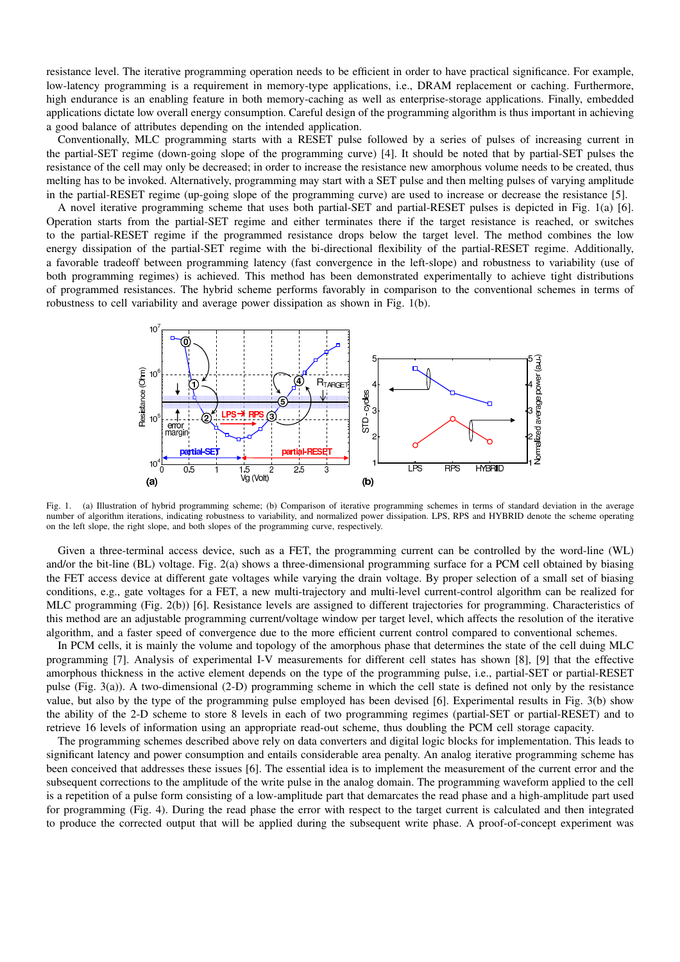resistance level. The iterative programming operation needs to be efficient in order to have practical significance. For example, low-latency programming is a requirement in memory-type applications, i.e., DRAM replacement or caching. Furthermore, high endurance is an enabling feature in both memory-caching as well as enterprise-storage applications. Finally, embedded applications dictate low overall energy consumption. Careful design of the programming algorithm is thus important in achieving a good balance of attributes depending on the intended application.

Conventionally, MLC programming starts with a RESET pulse followed by a series of pulses of increasing current in the partial-SET regime (down-going slope of the programming curve) [4]. It should be noted that by partial-SET pulses the resistance of the cell may only be decreased; in order to increase the resistance new amorphous volume needs to be created, thus melting has to be invoked. Alternatively, programming may start with a SET pulse and then melting pulses of varying amplitude in the partial-RESET regime (up-going slope of the programming curve) are used to increase or decrease the resistance [5].

A novel iterative programming scheme that uses both partial-SET and partial-RESET pulses is depicted in Fig. 1(a) [6]. Operation starts from the partial-SET regime and either terminates there if the target resistance is reached, or switches to the partial-RESET regime if the programmed resistance drops below the target level. The method combines the low energy dissipation of the partial-SET regime with the bi-directional flexibility of the partial-RESET regime. Additionally, a favorable tradeoff between programming latency (fast convergence in the left-slope) and robustness to variability (use of both programming regimes) is achieved. This method has been demonstrated experimentally to achieve tight distributions of programmed resistances. The hybrid scheme performs favorably in comparison to the conventional schemes in terms of robustness to cell variability and average power dissipation as shown in Fig. 1(b).



Fig. 1. (a) Illustration of hybrid programming scheme; (b) Comparison of iterative programming schemes in terms of standard deviation in the average number of algorithm iterations, indicating robustness to variability, and normalized power dissipation. LPS, RPS and HYBRID denote the scheme operating on the left slope, the right slope, and both slopes of the programming curve, respectively.

Given a three-terminal access device, such as a FET, the programming current can be controlled by the word-line (WL) and/or the bit-line (BL) voltage. Fig. 2(a) shows a three-dimensional programming surface for a PCM cell obtained by biasing the FET access device at different gate voltages while varying the drain voltage. By proper selection of a small set of biasing conditions, e.g., gate voltages for a FET, a new multi-trajectory and multi-level current-control algorithm can be realized for MLC programming (Fig. 2(b)) [6]. Resistance levels are assigned to different trajectories for programming. Characteristics of this method are an adjustable programming current/voltage window per target level, which affects the resolution of the iterative algorithm, and a faster speed of convergence due to the more efficient current control compared to conventional schemes.

In PCM cells, it is mainly the volume and topology of the amorphous phase that determines the state of the cell duing MLC programming [7]. Analysis of experimental I-V measurements for different cell states has shown [8], [9] that the effective amorphous thickness in the active element depends on the type of the programming pulse, i.e., partial-SET or partial-RESET pulse (Fig. 3(a)). A two-dimensional (2-D) programming scheme in which the cell state is defined not only by the resistance value, but also by the type of the programming pulse employed has been devised [6]. Experimental results in Fig. 3(b) show the ability of the 2-D scheme to store 8 levels in each of two programming regimes (partial-SET or partial-RESET) and to retrieve 16 levels of information using an appropriate read-out scheme, thus doubling the PCM cell storage capacity.

The programming schemes described above rely on data converters and digital logic blocks for implementation. This leads to significant latency and power consumption and entails considerable area penalty. An analog iterative programming scheme has been conceived that addresses these issues [6]. The essential idea is to implement the measurement of the current error and the subsequent corrections to the amplitude of the write pulse in the analog domain. The programming waveform applied to the cell is a repetition of a pulse form consisting of a low-amplitude part that demarcates the read phase and a high-amplitude part used for programming (Fig. 4). During the read phase the error with respect to the target current is calculated and then integrated to produce the corrected output that will be applied during the subsequent write phase. A proof-of-concept experiment was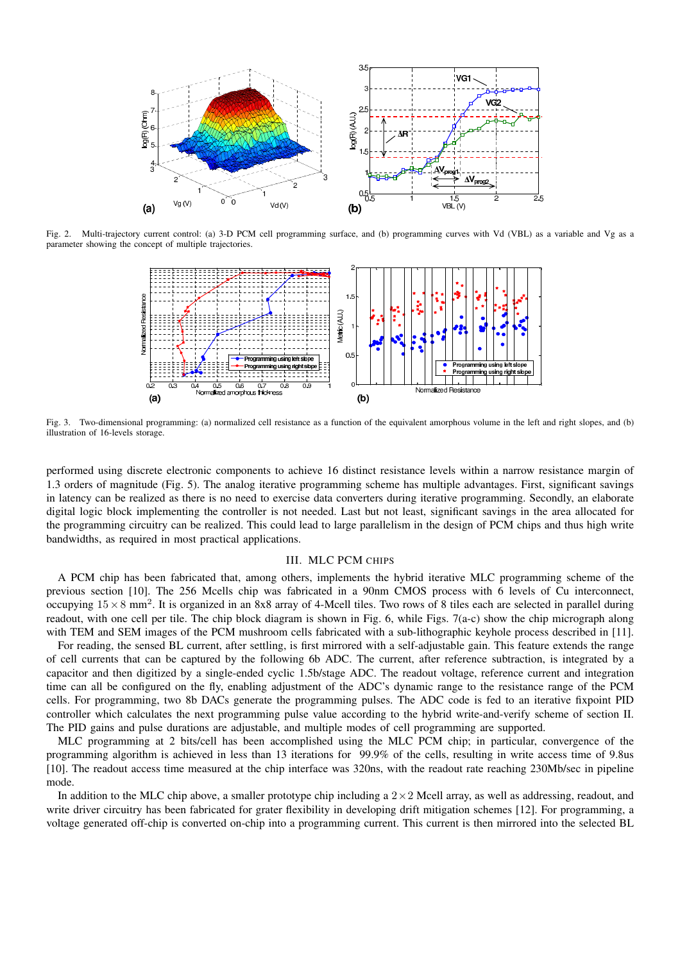

Fig. 2. Multi-trajectory current control: (a) 3-D PCM cell programming surface, and (b) programming curves with Vd (VBL) as a variable and Vg as a parameter showing the concept of multiple trajectories.



Fig. 3. Two-dimensional programming: (a) normalized cell resistance as a function of the equivalent amorphous volume in the left and right slopes, and (b) illustration of 16-levels storage.

performed using discrete electronic components to achieve 16 distinct resistance levels within a narrow resistance margin of 1.3 orders of magnitude (Fig. 5). The analog iterative programming scheme has multiple advantages. First, significant savings in latency can be realized as there is no need to exercise data converters during iterative programming. Secondly, an elaborate digital logic block implementing the controller is not needed. Last but not least, significant savings in the area allocated for the programming circuitry can be realized. This could lead to large parallelism in the design of PCM chips and thus high write bandwidths, as required in most practical applications.

## III. MLC PCM CHIPS

A PCM chip has been fabricated that, among others, implements the hybrid iterative MLC programming scheme of the previous section [10]. The 256 Mcells chip was fabricated in a 90nm CMOS process with 6 levels of Cu interconnect, occupying  $15 \times 8$  mm<sup>2</sup>. It is organized in an 8x8 array of 4-Mcell tiles. Two rows of 8 tiles each are selected in parallel during readout, with one cell per tile. The chip block diagram is shown in Fig. 6, while Figs. 7(a-c) show the chip micrograph along with TEM and SEM images of the PCM mushroom cells fabricated with a sub-lithographic keyhole process described in [11].

For reading, the sensed BL current, after settling, is first mirrored with a self-adjustable gain. This feature extends the range of cell currents that can be captured by the following 6b ADC. The current, after reference subtraction, is integrated by a capacitor and then digitized by a single-ended cyclic 1.5b/stage ADC. The readout voltage, reference current and integration time can all be configured on the fly, enabling adjustment of the ADC's dynamic range to the resistance range of the PCM cells. For programming, two 8b DACs generate the programming pulses. The ADC code is fed to an iterative fixpoint PID controller which calculates the next programming pulse value according to the hybrid write-and-verify scheme of section II. The PID gains and pulse durations are adjustable, and multiple modes of cell programming are supported.

MLC programming at 2 bits/cell has been accomplished using the MLC PCM chip; in particular, convergence of the programming algorithm is achieved in less than 13 iterations for 99.9% of the cells, resulting in write access time of 9.8us [10]. The readout access time measured at the chip interface was 320ns, with the readout rate reaching 230Mb/sec in pipeline mode.

In addition to the MLC chip above, a smaller prototype chip including a  $2\times 2$  Mcell array, as well as addressing, readout, and write driver circuitry has been fabricated for grater flexibility in developing drift mitigation schemes [12]. For programming, a voltage generated off-chip is converted on-chip into a programming current. This current is then mirrored into the selected BL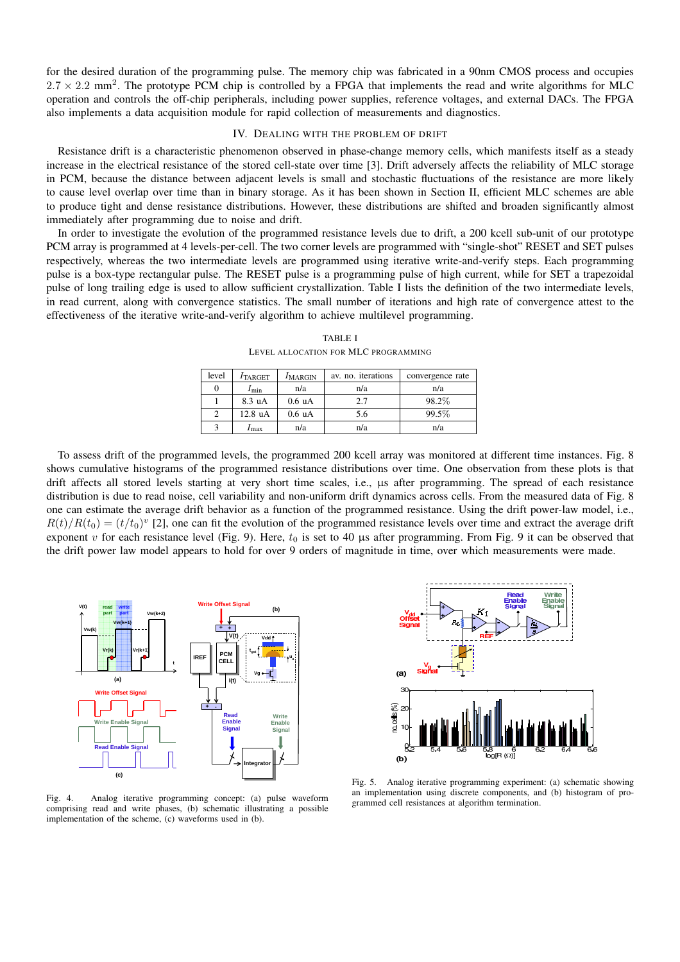for the desired duration of the programming pulse. The memory chip was fabricated in a 90nm CMOS process and occupies  $2.7 \times 2.2$  mm<sup>2</sup>. The prototype PCM chip is controlled by a FPGA that implements the read and write algorithms for MLC operation and controls the off-chip peripherals, including power supplies, reference voltages, and external DACs. The FPGA also implements a data acquisition module for rapid collection of measurements and diagnostics.

## IV. DEALING WITH THE PROBLEM OF DRIFT

Resistance drift is a characteristic phenomenon observed in phase-change memory cells, which manifests itself as a steady increase in the electrical resistance of the stored cell-state over time [3]. Drift adversely affects the reliability of MLC storage in PCM, because the distance between adjacent levels is small and stochastic fluctuations of the resistance are more likely to cause level overlap over time than in binary storage. As it has been shown in Section II, efficient MLC schemes are able to produce tight and dense resistance distributions. However, these distributions are shifted and broaden significantly almost immediately after programming due to noise and drift.

In order to investigate the evolution of the programmed resistance levels due to drift, a 200 kcell sub-unit of our prototype PCM array is programmed at 4 levels-per-cell. The two corner levels are programmed with "single-shot" RESET and SET pulses respectively, whereas the two intermediate levels are programmed using iterative write-and-verify steps. Each programming pulse is a box-type rectangular pulse. The RESET pulse is a programming pulse of high current, while for SET a trapezoidal pulse of long trailing edge is used to allow sufficient crystallization. Table I lists the definition of the two intermediate levels, in read current, along with convergence statistics. The small number of iterations and high rate of convergence attest to the effectiveness of the iterative write-and-verify algorithm to achieve multilevel programming.

| level | $I_{\text{TARGET}}$ | $I_{\text{MARGIN}}$ | av. no. iterations | convergence rate |
|-------|---------------------|---------------------|--------------------|------------------|
|       | $I_{\min}$          | n/a                 | n/a                | n/a              |
|       | $8.3 \text{ uA}$    | $0.6 \text{ uA}$    | 2.7                | 98.2%            |
|       | $12.8 \text{ uA}$   | $0.6 \text{ uA}$    | 5.6                | 99.5%            |
|       | $I_{\text{max}}$    | n/a                 | n/a                | n/a              |

TABLE I LEVEL ALLOCATION FOR MLC PROGRAMMING

To assess drift of the programmed levels, the programmed 200 kcell array was monitored at different time instances. Fig. 8 shows cumulative histograms of the programmed resistance distributions over time. One observation from these plots is that drift affects all stored levels starting at very short time scales, i.e., us after programming. The spread of each resistance distribution is due to read noise, cell variability and non-uniform drift dynamics across cells. From the measured data of Fig. 8 one can estimate the average drift behavior as a function of the programmed resistance. Using the drift power-law model, i.e.,  $R(t)/R(t_0) = (t/t_0)^v$  [2], one can fit the evolution of the programmed resistance levels over time and extract the average drift exponent v for each resistance level (Fig. 9). Here,  $t_0$  is set to 40 µs after programming. From Fig. 9 it can be observed that the drift power law model appears to hold for over 9 orders of magnitude in time, over which measurements were made.



Fig. 4. Analog iterative programming concept: (a) pulse waveform comprising read and write phases, (b) schematic illustrating a possible implementation of the scheme, (c) waveforms used in (b).



Fig. 5. Analog iterative programming experiment: (a) schematic showing an implementation using discrete components, and (b) histogram of programmed cell resistances at algorithm termination.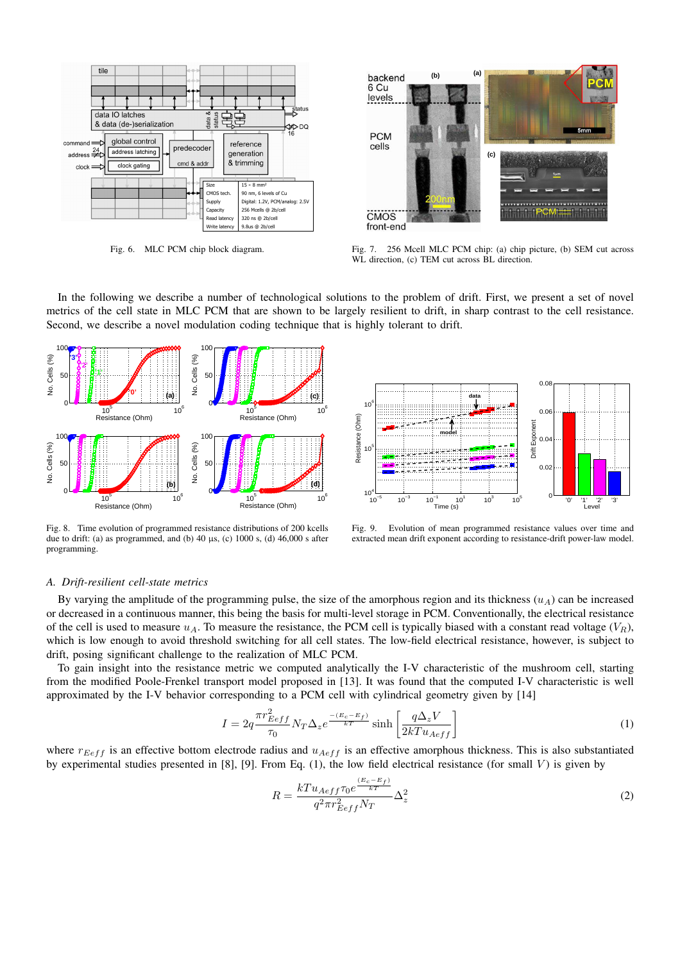

Fig. 6. MLC PCM chip block diagram.



Fig. 7. 256 Mcell MLC PCM chip: (a) chip picture, (b) SEM cut across WL direction, (c) TEM cut across BL direction.

In the following we describe a number of technological solutions to the problem of drift. First, we present a set of novel metrics of the cell state in MLC PCM that are shown to be largely resilient to drift, in sharp contrast to the cell resistance. Second, we describe a novel modulation coding technique that is highly tolerant to drift.



Fig. 8. Time evolution of programmed resistance distributions of 200 kcells due to drift: (a) as programmed, and (b)  $40 \mu s$ , (c)  $1000 s$ , (d)  $46,000 s$  after programming.



Fig. 9. Evolution of mean programmed resistance values over time and extracted mean drift exponent according to resistance-drift power-law model.

## *A. Drift-resilient cell-state metrics*

By varying the amplitude of the programming pulse, the size of the amorphous region and its thickness  $(u_A)$  can be increased or decreased in a continuous manner, this being the basis for multi-level storage in PCM. Conventionally, the electrical resistance of the cell is used to measure  $u_A$ . To measure the resistance, the PCM cell is typically biased with a constant read voltage ( $V_R$ ), which is low enough to avoid threshold switching for all cell states. The low-field electrical resistance, however, is subject to drift, posing significant challenge to the realization of MLC PCM.

To gain insight into the resistance metric we computed analytically the I-V characteristic of the mushroom cell, starting from the modified Poole-Frenkel transport model proposed in [13]. It was found that the computed I-V characteristic is well approximated by the I-V behavior corresponding to a PCM cell with cylindrical geometry given by [14]

$$
I = 2q \frac{\pi r_{Eeff}^2}{\tau_0} N_T \Delta_z e^{\frac{-(E_c - E_f)}{kT}} \sinh\left[\frac{q\Delta_z V}{2kT u_{Aeff}}\right]
$$
(1)

where  $r_{Eeff}$  is an effective bottom electrode radius and  $u_{Aeff}$  is an effective amorphous thickness. This is also substantiated by experimental studies presented in [8], [9]. From Eq. (1), the low field electrical resistance (for small  $V$ ) is given by

$$
R = \frac{kT u_{Aeff} \tau_0 e^{\frac{(E_c - E_f)}{kT}}}{q^2 \pi r_{Eeff}^2 N_T} \Delta_z^2
$$
\n
$$
(2)
$$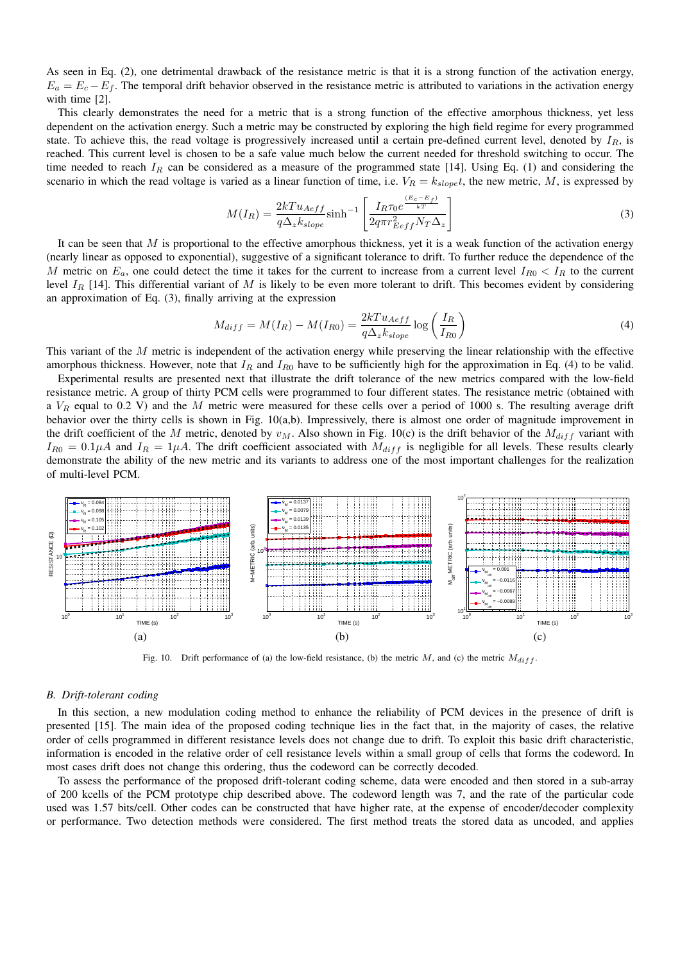As seen in Eq. (2), one detrimental drawback of the resistance metric is that it is a strong function of the activation energy,  $E_a = E_c - E_f$ . The temporal drift behavior observed in the resistance metric is attributed to variations in the activation energy with time [2].

This clearly demonstrates the need for a metric that is a strong function of the effective amorphous thickness, yet less dependent on the activation energy. Such a metric may be constructed by exploring the high field regime for every programmed state. To achieve this, the read voltage is progressively increased until a certain pre-defined current level, denoted by  $I_R$ , is reached. This current level is chosen to be a safe value much below the current needed for threshold switching to occur. The time needed to reach  $I_R$  can be considered as a measure of the programmed state [14]. Using Eq. (1) and considering the scenario in which the read voltage is varied as a linear function of time, i.e.  $V_R = k_{slope}t$ , the new metric, M, is expressed by

$$
M(I_R) = \frac{2kT u_{Aeff}}{q\Delta_z k_{slope}} \sinh^{-1} \left[ \frac{I_R \tau_0 e^{\frac{(E_c - E_f)}{kT}}}{2q\pi r_{Eeff}^2 N_T \Delta_z} \right]
$$
(3)

It can be seen that  $M$  is proportional to the effective amorphous thickness, yet it is a weak function of the activation energy (nearly linear as opposed to exponential), suggestive of a significant tolerance to drift. To further reduce the dependence of the M metric on  $E_a$ , one could detect the time it takes for the current to increase from a current level  $I_{R0} < I_R$  to the current level  $I_R$  [14]. This differential variant of M is likely to be even more tolerant to drift. This becomes evident by considering an approximation of Eq. (3), finally arriving at the expression

$$
M_{diff} = M(I_R) - M(I_{R0}) = \frac{2kT u_{Aeff}}{q\Delta_z k_{slope}} \log\left(\frac{I_R}{I_{R0}}\right)
$$
(4)

This variant of the  $M$  metric is independent of the activation energy while preserving the linear relationship with the effective amorphous thickness. However, note that  $I_R$  and  $I_{R0}$  have to be sufficiently high for the approximation in Eq. (4) to be valid.

Experimental results are presented next that illustrate the drift tolerance of the new metrics compared with the low-field resistance metric. A group of thirty PCM cells were programmed to four different states. The resistance metric (obtained with a  $V_R$  equal to 0.2 V) and the M metric were measured for these cells over a period of 1000 s. The resulting average drift behavior over the thirty cells is shown in Fig. 10(a,b). Impressively, there is almost one order of magnitude improvement in the drift coefficient of the M metric, denoted by  $v_M$ . Also shown in Fig. 10(c) is the drift behavior of the  $M_{diff}$  variant with  $I_{R0} = 0.1 \mu A$  and  $I_R = 1 \mu A$ . The drift coefficient associated with  $M_{diff}$  is negligible for all levels. These results clearly demonstrate the ability of the new metric and its variants to address one of the most important challenges for the realization of multi-level PCM.



Fig. 10. Drift performance of (a) the low-field resistance, (b) the metric M, and (c) the metric  $M_{diff}$ .

#### *B. Drift-tolerant coding*

In this section, a new modulation coding method to enhance the reliability of PCM devices in the presence of drift is presented [15]. The main idea of the proposed coding technique lies in the fact that, in the majority of cases, the relative order of cells programmed in different resistance levels does not change due to drift. To exploit this basic drift characteristic, information is encoded in the relative order of cell resistance levels within a small group of cells that forms the codeword. In most cases drift does not change this ordering, thus the codeword can be correctly decoded.

To assess the performance of the proposed drift-tolerant coding scheme, data were encoded and then stored in a sub-array of 200 kcells of the PCM prototype chip described above. The codeword length was 7, and the rate of the particular code used was 1.57 bits/cell. Other codes can be constructed that have higher rate, at the expense of encoder/decoder complexity or performance. Two detection methods were considered. The first method treats the stored data as uncoded, and applies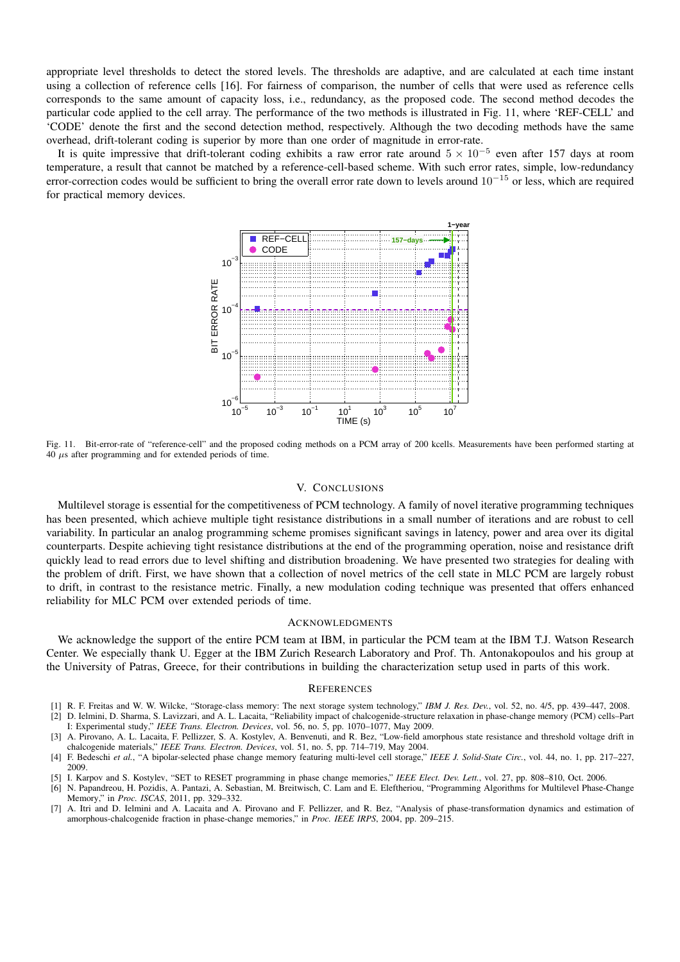appropriate level thresholds to detect the stored levels. The thresholds are adaptive, and are calculated at each time instant using a collection of reference cells [16]. For fairness of comparison, the number of cells that were used as reference cells corresponds to the same amount of capacity loss, i.e., redundancy, as the proposed code. The second method decodes the particular code applied to the cell array. The performance of the two methods is illustrated in Fig. 11, where 'REF-CELL' and 'CODE' denote the first and the second detection method, respectively. Although the two decoding methods have the same overhead, drift-tolerant coding is superior by more than one order of magnitude in error-rate.

It is quite impressive that drift-tolerant coding exhibits a raw error rate around  $5 \times 10^{-5}$  even after 157 days at room temperature, a result that cannot be matched by a reference-cell-based scheme. With such error rates, simple, low-redundancy error-correction codes would be sufficient to bring the overall error rate down to levels around  $10^{-15}$  or less, which are required for practical memory devices.



Fig. 11. Bit-error-rate of "reference-cell" and the proposed coding methods on a PCM array of 200 kcells. Measurements have been performed starting at  $40 \mu s$  after programming and for extended periods of time.

#### V. CONCLUSIONS

Multilevel storage is essential for the competitiveness of PCM technology. A family of novel iterative programming techniques has been presented, which achieve multiple tight resistance distributions in a small number of iterations and are robust to cell variability. In particular an analog programming scheme promises significant savings in latency, power and area over its digital counterparts. Despite achieving tight resistance distributions at the end of the programming operation, noise and resistance drift quickly lead to read errors due to level shifting and distribution broadening. We have presented two strategies for dealing with the problem of drift. First, we have shown that a collection of novel metrics of the cell state in MLC PCM are largely robust to drift, in contrast to the resistance metric. Finally, a new modulation coding technique was presented that offers enhanced reliability for MLC PCM over extended periods of time.

## **ACKNOWLEDGMENTS**

We acknowledge the support of the entire PCM team at IBM, in particular the PCM team at the IBM T.J. Watson Research Center. We especially thank U. Egger at the IBM Zurich Research Laboratory and Prof. Th. Antonakopoulos and his group at the University of Patras, Greece, for their contributions in building the characterization setup used in parts of this work.

#### **REFERENCES**

- [1] R. F. Freitas and W. W. Wilcke, "Storage-class memory: The next storage system technology," *IBM J. Res. Dev.*, vol. 52, no. 4/5, pp. 439–447, 2008. [2] D. Ielmini, D. Sharma, S. Lavizzari, and A. L. Lacaita, "Reliability impact of chalcogenide-structure relaxation in phase-change memory (PCM) cells–Part
- I: Experimental study," *IEEE Trans. Electron. Devices*, vol. 56, no. 5, pp. 1070–1077, May 2009. [3] A. Pirovano, A. L. Lacaita, F. Pellizzer, S. A. Kostylev, A. Benvenuti, and R. Bez, "Low-field amorphous state resistance and threshold voltage drift in
- chalcogenide materials," *IEEE Trans. Electron. Devices*, vol. 51, no. 5, pp. 714–719, May 2004. [4] F. Bedeschi *et al.*, "A bipolar-selected phase change memory featuring multi-level cell storage," *IEEE J. Solid-State Circ.*, vol. 44, no. 1, pp. 217–227,
- [5] I. Karpov and S. Kostylev, "SET to RESET programming in phase change memories," *IEEE Elect. Dev. Lett.*, vol. 27, pp. 808–810, Oct. 2006.

2009.

- [6] N. Papandreou, H. Pozidis, A. Pantazi, A. Sebastian, M. Breitwisch, C. Lam and E. Eleftheriou, "Programming Algorithms for Multilevel Phase-Change Memory," in *Proc. ISCAS*, 2011, pp. 329–332.
- [7] A. Itri and D. Ielmini and A. Lacaita and A. Pirovano and F. Pellizzer, and R. Bez, "Analysis of phase-transformation dynamics and estimation of amorphous-chalcogenide fraction in phase-change memories," in *Proc. IEEE IRPS*, 2004, pp. 209–215.